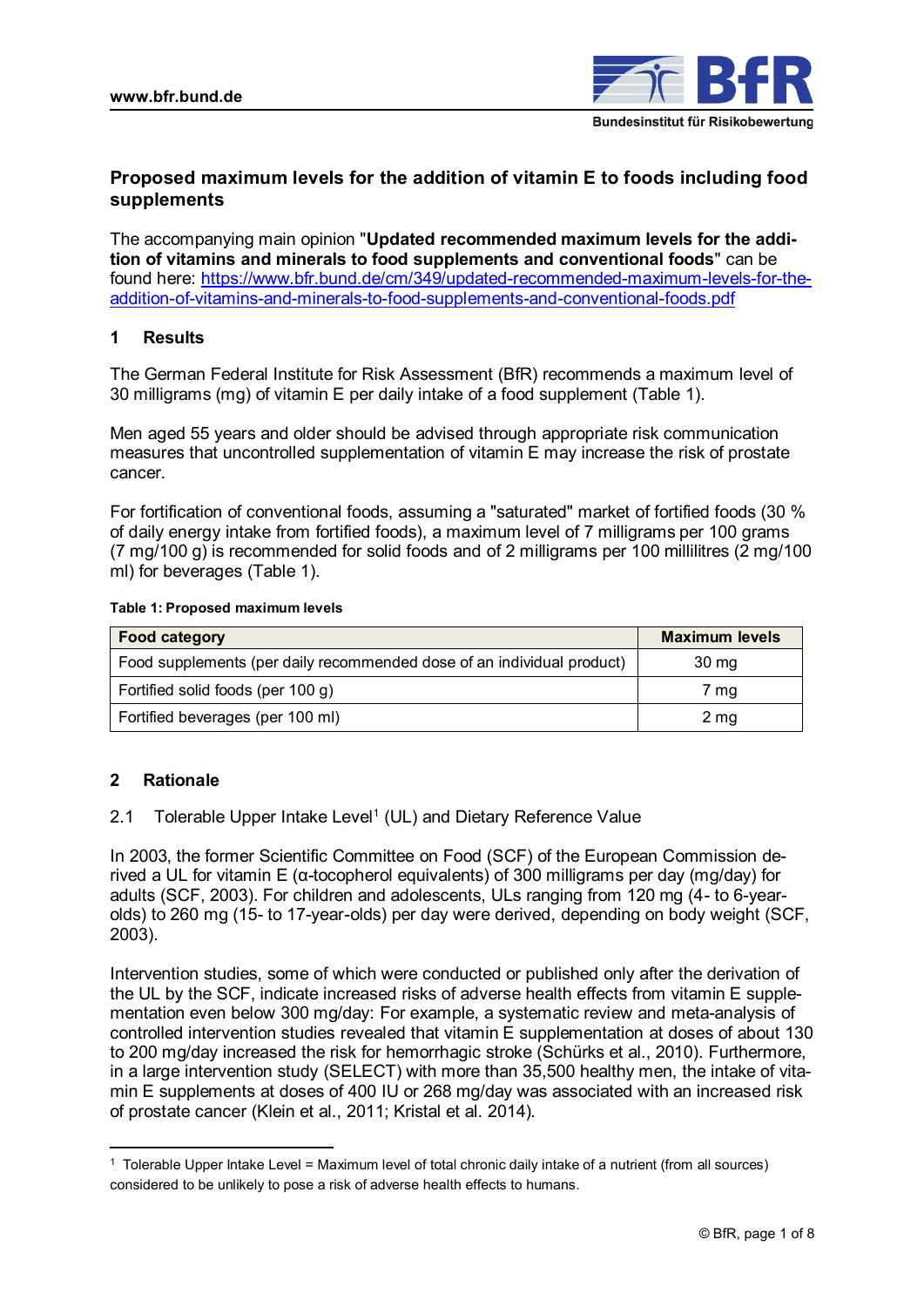

# **Proposed maximum levels for the addition of vitamin E to foods including food supplements**

The accompanying main opinion "**Updated recommended maximum levels for the addition of vitamins and minerals to food supplements and conventional foods**" can be found here: [https://www.bfr.bund.de/cm/349/updated-recommended-maximum-levels-for-the](https://www.bfr.bund.de/cm/349/updated-recommended-maximum-levels-for-the-addition-of-vitamins-and-minerals-to-food-supplements-and-conventional-foods.pdf)[addition-of-vitamins-and-minerals-to-food-supplements-and-conventional-foods.pdf](https://www.bfr.bund.de/cm/349/updated-recommended-maximum-levels-for-the-addition-of-vitamins-and-minerals-to-food-supplements-and-conventional-foods.pdf)

# **1 Results**

The German Federal Institute for Risk Assessment (BfR) recommends a maximum level of 30 milligrams (mg) of vitamin E per daily intake of a food supplement (Table 1).

Men aged 55 years and older should be advised through appropriate risk communication measures that uncontrolled supplementation of vitamin E may increase the risk of prostate cancer.

For fortification of conventional foods, assuming a "saturated" market of fortified foods (30 % of daily energy intake from fortified foods), a maximum level of 7 milligrams per 100 grams (7 mg/100 g) is recommended for solid foods and of 2 milligrams per 100 millilitres (2 mg/100 ml) for beverages (Table 1).

### **Table 1: Proposed maximum levels**

| <b>Food category</b>                                                   | <b>Maximum levels</b> |
|------------------------------------------------------------------------|-----------------------|
| Food supplements (per daily recommended dose of an individual product) | 30 mg                 |
| Fortified solid foods (per 100 g)                                      | 7 mg                  |
| Fortified beverages (per 100 ml)                                       | 2 mg                  |

# **2 Rationale**

2.1 Tolerable Upper Intake Level<sup>1</sup> (UL) and Dietary Reference Value

In 2003, the former Scientific Committee on Food (SCF) of the European Commission derived a UL for vitamin E (α-tocopherol equivalents) of 300 milligrams per day (mg/day) for adults (SCF, 2003). For children and adolescents, ULs ranging from 120 mg (4- to 6-yearolds) to 260 mg (15- to 17-year-olds) per day were derived, depending on body weight (SCF, 2003).

Intervention studies, some of which were conducted or published only after the derivation of the UL by the SCF, indicate increased risks of adverse health effects from vitamin E supplementation even below 300 mg/day: For example, a systematic review and meta-analysis of controlled intervention studies revealed that vitamin E supplementation at doses of about 130 to 200 mg/day increased the risk for hemorrhagic stroke (Schürks et al., 2010). Furthermore, in a large intervention study (SELECT) with more than 35,500 healthy men, the intake of vitamin E supplements at doses of 400 IU or 268 mg/day was associated with an increased risk of prostate cancer (Klein et al., 2011; Kristal et al. 2014).

<sup>1</sup> Tolerable Upper Intake Level = Maximum level of total chronic daily intake of a nutrient (from all sources) considered to be unlikely to pose a risk of adverse health effects to humans.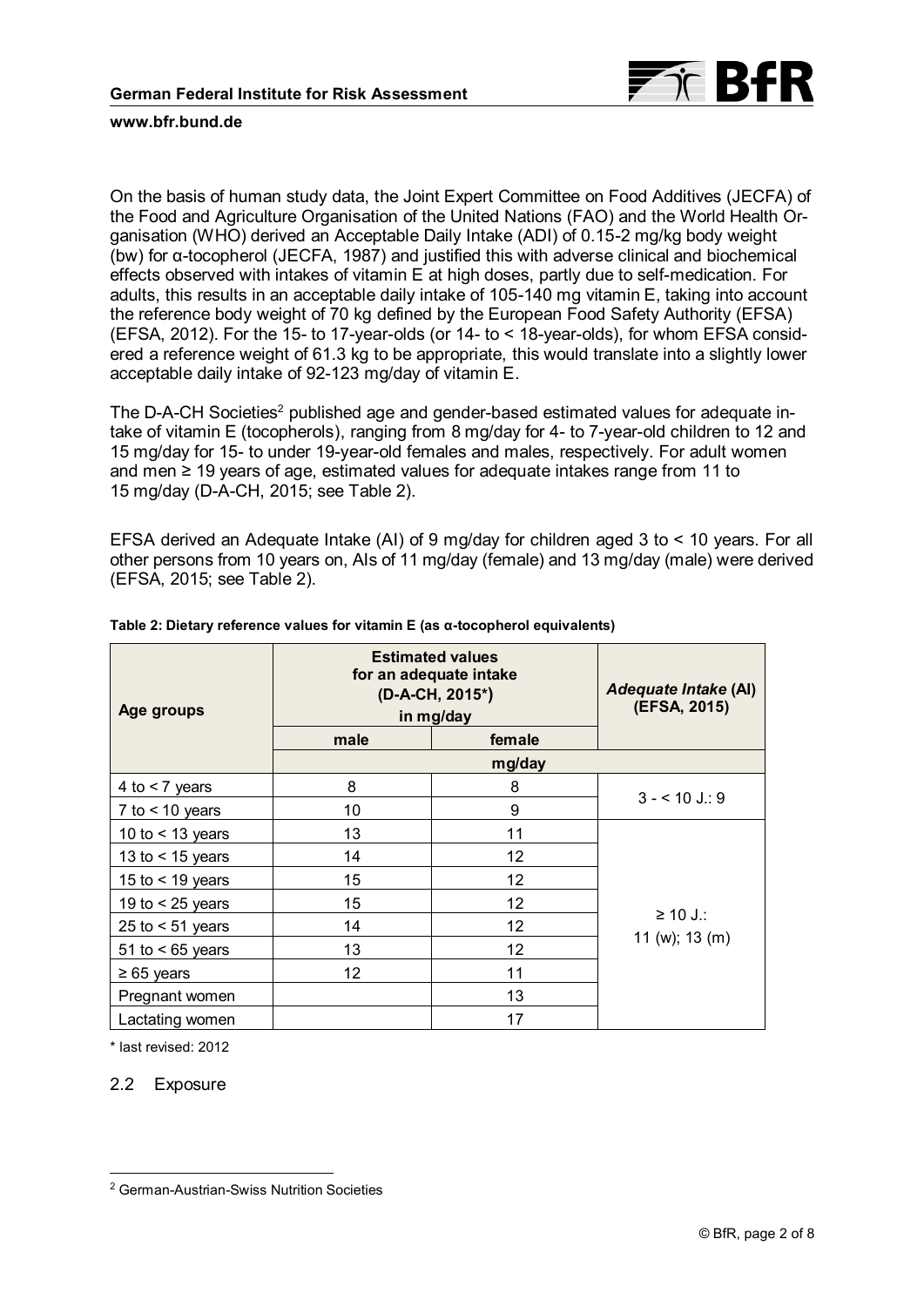

On the basis of human study data, the Joint Expert Committee on Food Additives (JECFA) of the Food and Agriculture Organisation of the United Nations (FAO) and the World Health Organisation (WHO) derived an Acceptable Daily Intake (ADI) of 0.15-2 mg/kg body weight (bw) for α-tocopherol (JECFA, 1987) and justified this with adverse clinical and biochemical effects observed with intakes of vitamin E at high doses, partly due to self-medication. For adults, this results in an acceptable daily intake of 105-140 mg vitamin E, taking into account the reference body weight of 70 kg defined by the European Food Safety Authority (EFSA) (EFSA, 2012). For the 15- to 17-year-olds (or 14- to < 18-year-olds), for whom EFSA considered a reference weight of 61.3 kg to be appropriate, this would translate into a slightly lower acceptable daily intake of 92-123 mg/day of vitamin E.

The D-A-CH Societies<sup>2</sup> published age and gender-based estimated values for adequate intake of vitamin E (tocopherols), ranging from 8 mg/day for 4- to 7-year-old children to 12 and 15 mg/day for 15- to under 19-year-old females and males, respectively. For adult women and men ≥ 19 years of age, estimated values for adequate intakes range from 11 to 15 mg/day (D-A-CH, 2015; see Table 2).

EFSA derived an Adequate Intake (AI) of 9 mg/day for children aged 3 to < 10 years. For all other persons from 10 years on, AIs of 11 mg/day (female) and 13 mg/day (male) were derived (EFSA, 2015; see Table 2).

| Age groups         | <b>Estimated values</b><br>for an adequate intake<br>(D-A-CH, 2015*)<br>in mg/day | Adequate Intake (AI)<br>(EFSA, 2015) |                |
|--------------------|-----------------------------------------------------------------------------------|--------------------------------------|----------------|
|                    | male                                                                              | female                               |                |
|                    |                                                                                   | mg/day                               |                |
| 4 to $<$ 7 years   | 8                                                                                 | 8                                    | $3 - 10$ J.: 9 |
| 7 to $<$ 10 years  | 10                                                                                | 9                                    |                |
| 10 to $<$ 13 years | 13                                                                                | 11                                   |                |
| 13 to $<$ 15 years | 14                                                                                | 12                                   |                |
| 15 to $<$ 19 years | 15                                                                                | 12                                   |                |
| 19 to $<$ 25 years | 15                                                                                | 12                                   |                |
| 25 to $<$ 51 years | 14                                                                                | 12                                   | ≥ 10 J.:       |
| 51 to $<$ 65 years | 13                                                                                | 12                                   | 11 (w); 13 (m) |
| $\geq 65$ years    | 12                                                                                | 11                                   |                |
| Pregnant women     |                                                                                   | 13                                   |                |
| Lactating women    |                                                                                   | 17                                   |                |

**Table 2: Dietary reference values for vitamin E (as α-tocopherol equivalents)**

\* last revised: 2012

2.2 Exposure

 $\overline{a}$ <sup>2</sup> German-Austrian-Swiss Nutrition Societies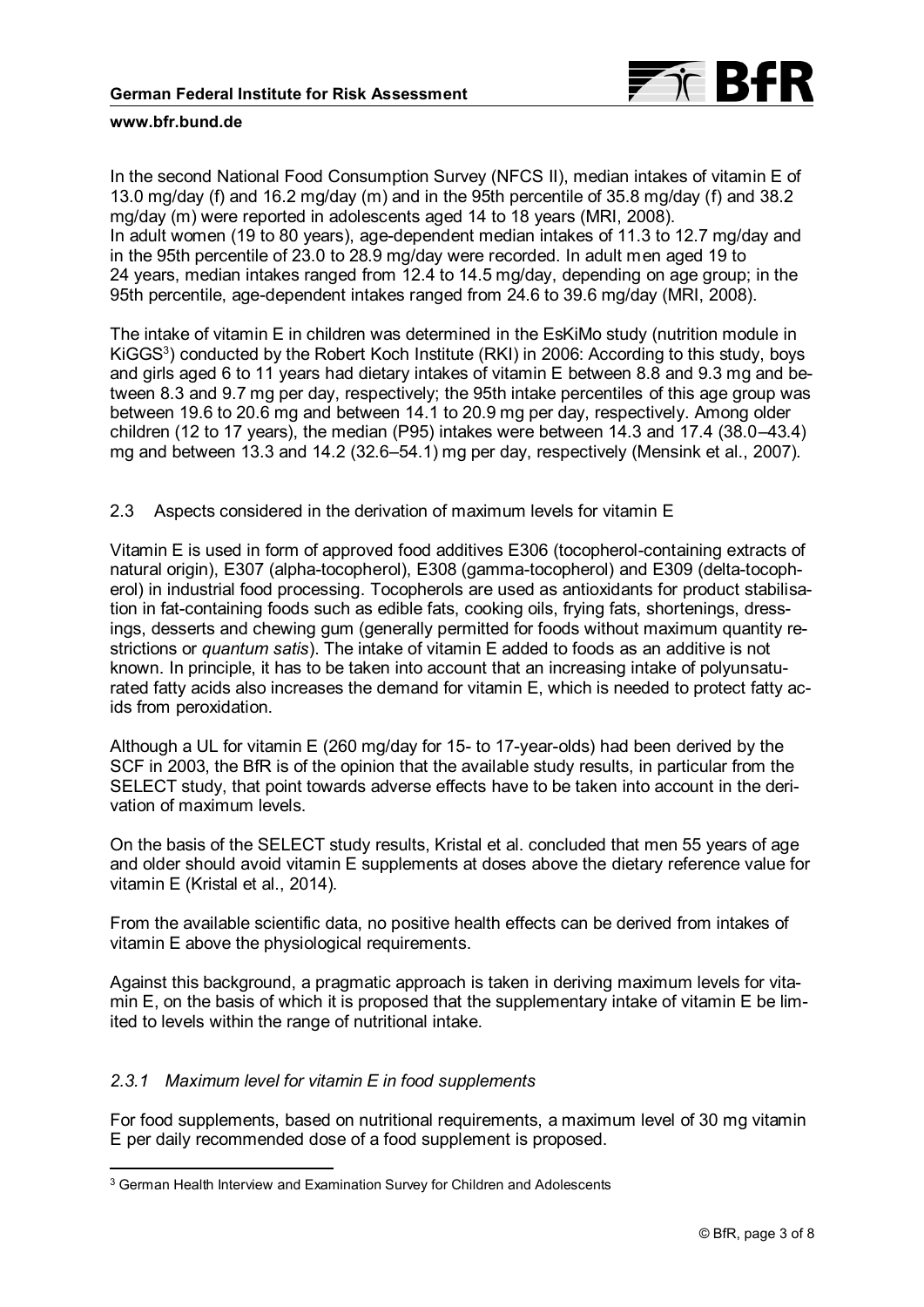

In the second National Food Consumption Survey (NFCS II), median intakes of vitamin E of 13.0 mg/day (f) and 16.2 mg/day (m) and in the 95th percentile of 35.8 mg/day (f) and 38.2 mg/day (m) were reported in adolescents aged 14 to 18 years (MRI, 2008). In adult women (19 to 80 years), age-dependent median intakes of 11.3 to 12.7 mg/day and in the 95th percentile of 23.0 to 28.9 mg/day were recorded. In adult men aged 19 to 24 years, median intakes ranged from 12.4 to 14.5 mg/day, depending on age group; in the 95th percentile, age-dependent intakes ranged from 24.6 to 39.6 mg/day (MRI, 2008).

The intake of vitamin E in children was determined in the EsKiMo study (nutrition module in KiGGS $^3$ ) conducted by the Robert Koch Institute (RKI) in 2006: According to this study, boys and girls aged 6 to 11 years had dietary intakes of vitamin E between 8.8 and 9.3 mg and between 8.3 and 9.7 mg per day, respectively; the 95th intake percentiles of this age group was between 19.6 to 20.6 mg and between 14.1 to 20.9 mg per day, respectively. Among older children (12 to 17 years), the median (P95) intakes were between 14.3 and 17.4 (38.0–43.4) mg and between 13.3 and 14.2 (32.6–54.1) mg per day, respectively (Mensink et al., 2007).

# 2.3 Aspects considered in the derivation of maximum levels for vitamin E

Vitamin E is used in form of approved food additives E306 (tocopherol-containing extracts of natural origin), E307 (alpha-tocopherol), E308 (gamma-tocopherol) and E309 (delta-tocopherol) in industrial food processing. Tocopherols are used as antioxidants for product stabilisation in fat-containing foods such as edible fats, cooking oils, frying fats, shortenings, dressings, desserts and chewing gum (generally permitted for foods without maximum quantity restrictions or *quantum satis*). The intake of vitamin E added to foods as an additive is not known. In principle, it has to be taken into account that an increasing intake of polyunsaturated fatty acids also increases the demand for vitamin E, which is needed to protect fatty acids from peroxidation.

Although a UL for vitamin E (260 mg/day for 15- to 17-year-olds) had been derived by the SCF in 2003, the BfR is of the opinion that the available study results, in particular from the SELECT study, that point towards adverse effects have to be taken into account in the derivation of maximum levels.

On the basis of the SELECT study results, Kristal et al. concluded that men 55 years of age and older should avoid vitamin E supplements at doses above the dietary reference value for vitamin E (Kristal et al., 2014).

From the available scientific data, no positive health effects can be derived from intakes of vitamin E above the physiological requirements.

Against this background, a pragmatic approach is taken in deriving maximum levels for vitamin E, on the basis of which it is proposed that the supplementary intake of vitamin E be limited to levels within the range of nutritional intake.

# *2.3.1 Maximum level for vitamin E in food supplements*

 $\overline{a}$ 

For food supplements, based on nutritional requirements, a maximum level of 30 mg vitamin E per daily recommended dose of a food supplement is proposed.

<sup>3</sup> German Health Interview and Examination Survey for Children and Adolescents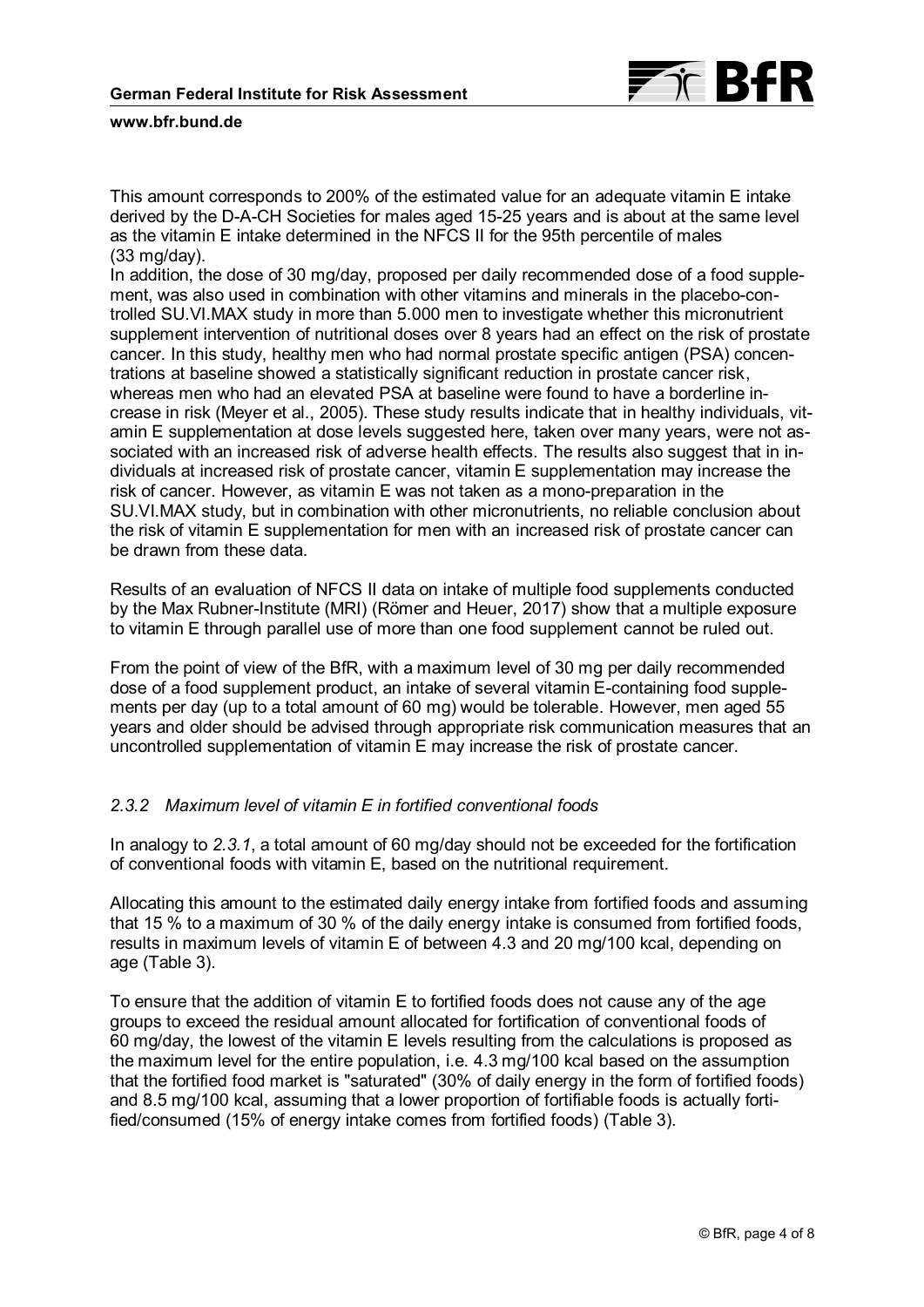

This amount corresponds to 200% of the estimated value for an adequate vitamin E intake derived by the D-A-CH Societies for males aged 15-25 years and is about at the same level as the vitamin E intake determined in the NFCS II for the 95th percentile of males (33 mg/day).

In addition, the dose of 30 mg/day, proposed per daily recommended dose of a food supplement, was also used in combination with other vitamins and minerals in the placebo-controlled SU.VI.MAX study in more than 5.000 men to investigate whether this micronutrient supplement intervention of nutritional doses over 8 years had an effect on the risk of prostate cancer. In this study, healthy men who had normal prostate specific antigen (PSA) concentrations at baseline showed a statistically significant reduction in prostate cancer risk, whereas men who had an elevated PSA at baseline were found to have a borderline increase in risk (Meyer et al., 2005). These study results indicate that in healthy individuals, vitamin E supplementation at dose levels suggested here, taken over many years, were not associated with an increased risk of adverse health effects. The results also suggest that in individuals at increased risk of prostate cancer, vitamin E supplementation may increase the risk of cancer. However, as vitamin E was not taken as a mono-preparation in the SU.VI.MAX study, but in combination with other micronutrients, no reliable conclusion about the risk of vitamin E supplementation for men with an increased risk of prostate cancer can be drawn from these data.

Results of an evaluation of NFCS II data on intake of multiple food supplements conducted by the Max Rubner-Institute (MRI) (Römer and Heuer, 2017) show that a multiple exposure to vitamin E through parallel use of more than one food supplement cannot be ruled out.

From the point of view of the BfR, with a maximum level of 30 mg per daily recommended dose of a food supplement product, an intake of several vitamin E-containing food supplements per day (up to a total amount of 60 mg) would be tolerable. However, men aged 55 years and older should be advised through appropriate risk communication measures that an uncontrolled supplementation of vitamin E may increase the risk of prostate cancer.

# *2.3.2 Maximum level of vitamin E in fortified conventional foods*

In analogy to *2.3.1*, a total amount of 60 mg/day should not be exceeded for the fortification of conventional foods with vitamin E, based on the nutritional requirement.

Allocating this amount to the estimated daily energy intake from fortified foods and assuming that 15 % to a maximum of 30 % of the daily energy intake is consumed from fortified foods, results in maximum levels of vitamin E of between 4.3 and 20 mg/100 kcal, depending on age (Table 3).

To ensure that the addition of vitamin E to fortified foods does not cause any of the age groups to exceed the residual amount allocated for fortification of conventional foods of 60 mg/day, the lowest of the vitamin E levels resulting from the calculations is proposed as the maximum level for the entire population, i.e. 4.3 mg/100 kcal based on the assumption that the fortified food market is "saturated" (30% of daily energy in the form of fortified foods) and 8.5 mg/100 kcal, assuming that a lower proportion of fortifiable foods is actually fortified/consumed (15% of energy intake comes from fortified foods) (Table 3).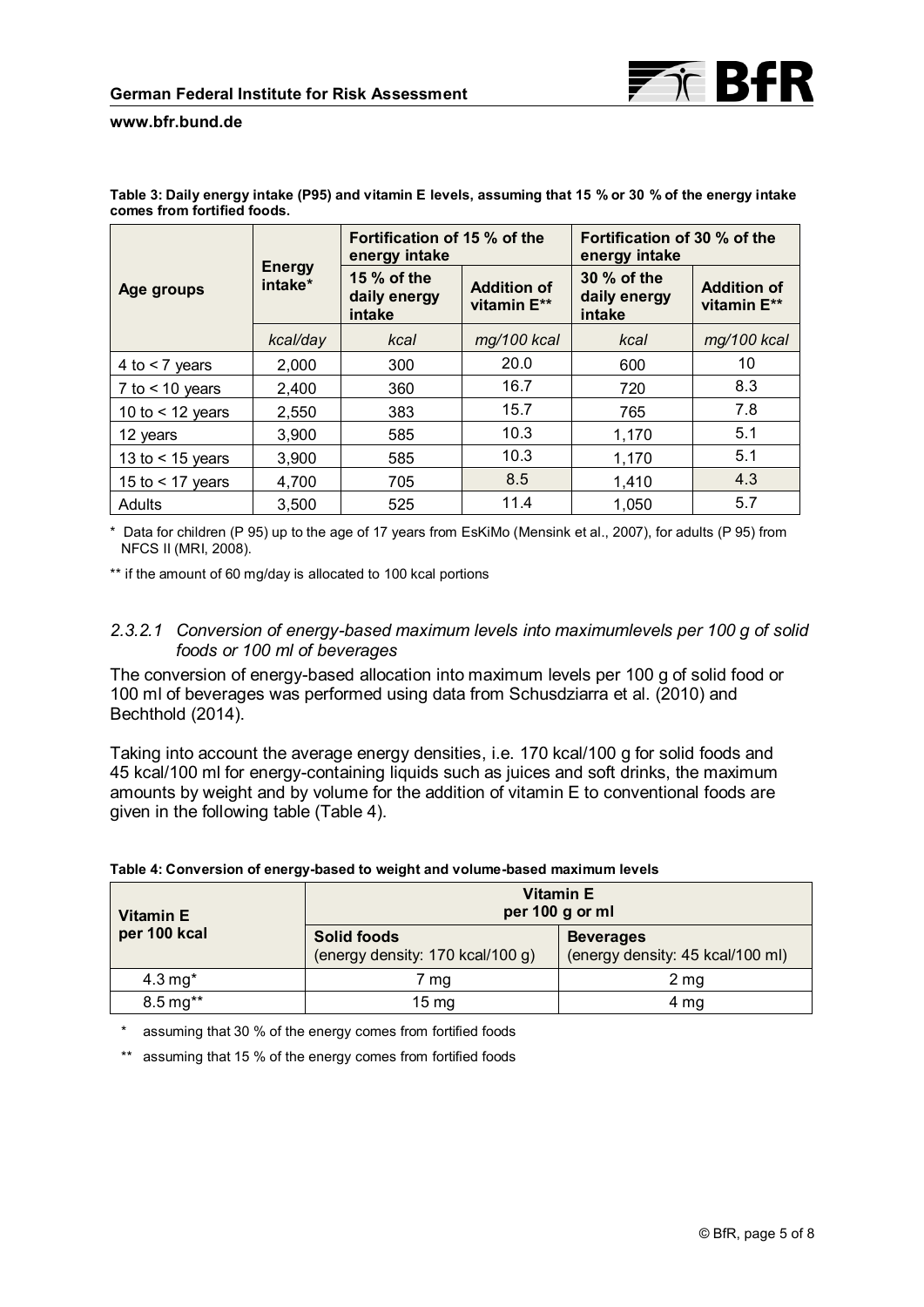|                    |                          | Fortification of 15 % of the<br>energy intake |                                   | Fortification of 30 % of the<br>energy intake |                                   |
|--------------------|--------------------------|-----------------------------------------------|-----------------------------------|-----------------------------------------------|-----------------------------------|
| Age groups         | <b>Energy</b><br>intake* | 15 $%$ of the<br>daily energy<br>intake       | <b>Addition of</b><br>vitamin E** | 30 % of the<br>daily energy<br>intake         | <b>Addition of</b><br>vitamin E** |
|                    | kcal/day                 | kcal                                          | mg/100 kcal                       | kcal                                          | mg/100 kcal                       |
| 4 to $<$ 7 years   | 2,000                    | 300                                           | 20.0                              | 600                                           | 10                                |
| $7$ to < 10 years  | 2,400                    | 360                                           | 16.7                              | 720                                           | 8.3                               |
| 10 to $<$ 12 years | 2,550                    | 383                                           | 15.7                              | 765                                           | 7.8                               |
| 12 years           | 3,900                    | 585                                           | 10.3                              | 1,170                                         | 5.1                               |
| 13 to $<$ 15 years | 3,900                    | 585                                           | 10.3                              | 1,170                                         | 5.1                               |
| 15 to $<$ 17 vears | 4,700                    | 705                                           | 8.5                               | 1,410                                         | 4.3                               |
| Adults             | 3,500                    | 525                                           | 11.4                              | 1,050                                         | 5.7                               |

**Table 3: Daily energy intake (P95) and vitamin E levels, assuming that 15 % or 30 % of the energy intake comes from fortified foods.**

\* Data for children (P 95) up to the age of 17 years from EsKiMo (Mensink et al., 2007), for adults (P 95) from NFCS II (MRI, 2008).

\*\* if the amount of 60 mg/day is allocated to 100 kcal portions

# *2.3.2.1 Conversion of energy-based maximum levels into maximumlevels per 100 g of solid foods or 100 ml of beverages*

The conversion of energy-based allocation into maximum levels per 100 g of solid food or 100 ml of beverages was performed using data from Schusdziarra et al. (2010) and Bechthold (2014).

Taking into account the average energy densities, i.e. 170 kcal/100 g for solid foods and 45 kcal/100 ml for energy-containing liquids such as juices and soft drinks, the maximum amounts by weight and by volume for the addition of vitamin E to conventional foods are given in the following table (Table 4).

| <b>Vitamin E</b>         | <b>Vitamin E</b><br>per 100 g or ml             |                                                      |  |
|--------------------------|-------------------------------------------------|------------------------------------------------------|--|
| per 100 kcal             | Solid foods<br>(energy density: 170 kcal/100 g) | <b>Beverages</b><br>(energy density: 45 kcal/100 ml) |  |
| 4.3 $mg*$                | 7 mg                                            | 2 mg                                                 |  |
| $8.5 \,\mathrm{mg}^{**}$ | $15 \text{ mg}$                                 | 4 mg                                                 |  |

#### **Table 4: Conversion of energy-based to weight and volume-based maximum levels**

\* assuming that 30 % of the energy comes from fortified foods

\*\* assuming that 15 % of the energy comes from fortified foods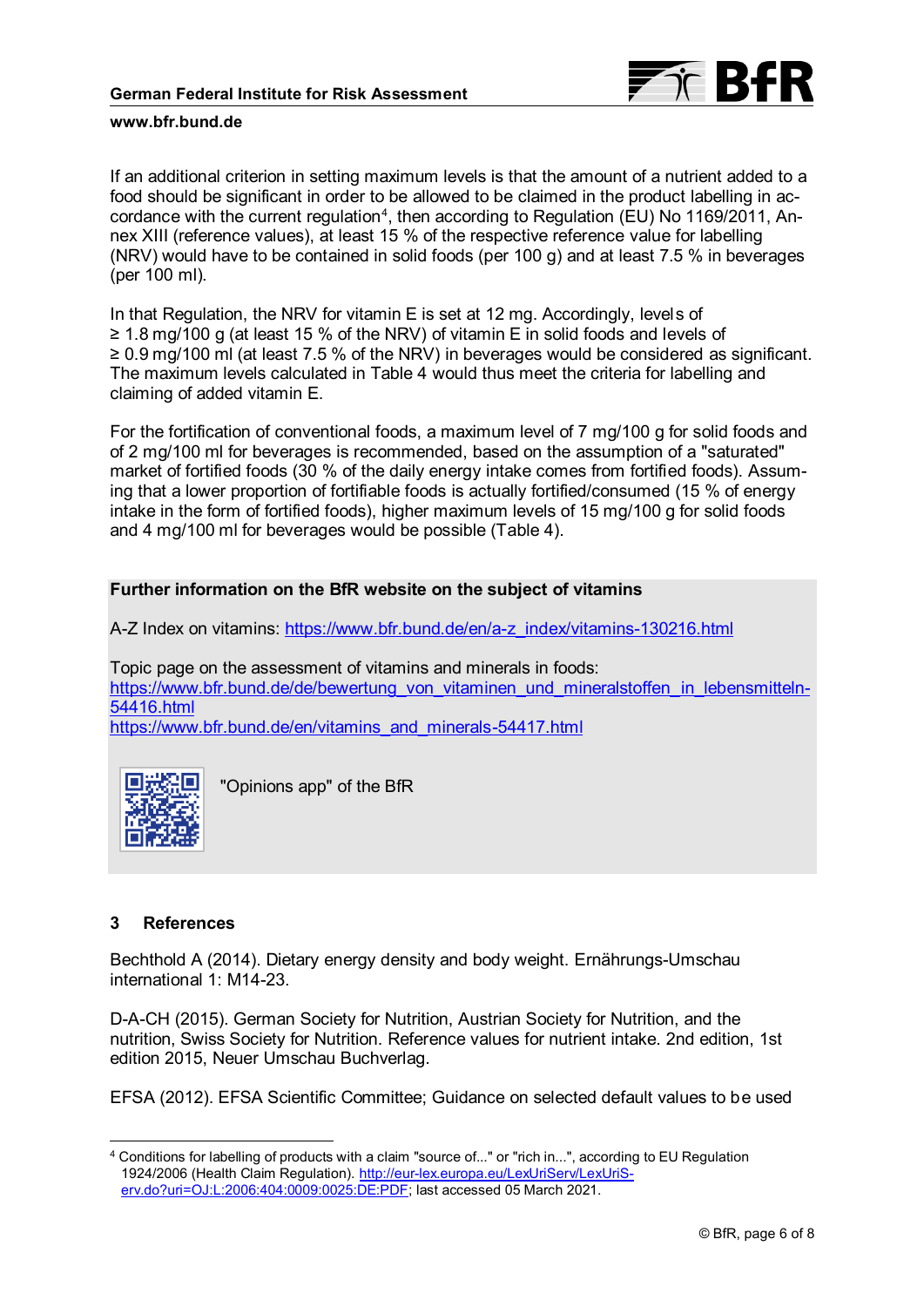

If an additional criterion in setting maximum levels is that the amount of a nutrient added to a food should be significant in order to be allowed to be claimed in the product labelling in accordance with the current regulation $^{\text{4}}$ , then according to Regulation (EU) No 1169/2011, Annex XIII (reference values), at least 15 % of the respective reference value for labelling (NRV) would have to be contained in solid foods (per 100 g) and at least 7.5 % in beverages (per 100 ml).

In that Regulation, the NRV for vitamin E is set at 12 mg. Accordingly, levels of ≥ 1.8 mg/100 g (at least 15 % of the NRV) of vitamin E in solid foods and levels of ≥ 0.9 mg/100 ml (at least 7.5 % of the NRV) in beverages would be considered as significant. The maximum levels calculated in Table 4 would thus meet the criteria for labelling and claiming of added vitamin E.

For the fortification of conventional foods, a maximum level of 7 mg/100 g for solid foods and of 2 mg/100 ml for beverages is recommended, based on the assumption of a "saturated" market of fortified foods (30 % of the daily energy intake comes from fortified foods). Assuming that a lower proportion of fortifiable foods is actually fortified/consumed (15 % of energy intake in the form of fortified foods), higher maximum levels of 15 mg/100 g for solid foods and 4 mg/100 ml for beverages would be possible (Table 4).

# **Further information on the BfR website on the subject of vitamins**

A-Z Index on vitamins: [https://www.bfr.bund.de/en/a-z\\_index/vitamins-130216.html](https://www.bfr.bund.de/en/a-z_index/vitamins-130216.html)

Topic page on the assessment of vitamins and minerals in foods: [https://www.bfr.bund.de/de/bewertung\\_von\\_vitaminen\\_und\\_mineralstoffen\\_in\\_lebensmitteln-](https://www.bfr.bund.de/de/bewertung_von_vitaminen_und_mineralstoffen_in_lebensmitteln-54416.html)[54416.html](https://www.bfr.bund.de/de/bewertung_von_vitaminen_und_mineralstoffen_in_lebensmitteln-54416.html) [https://www.bfr.bund.de/en/vitamins\\_and\\_minerals-54417.html](https://www.bfr.bund.de/en/vitamins_and_minerals-54417.html)

"Opinions app" of the BfR

# **3 References**

 $\overline{a}$ 

Bechthold A (2014). Dietary energy density and body weight. Ernährungs-Umschau international 1: M14-23.

D-A-CH (2015). German Society for Nutrition, Austrian Society for Nutrition, and the nutrition, Swiss Society for Nutrition. Reference values for nutrient intake. 2nd edition, 1st edition 2015, Neuer Umschau Buchverlag.

EFSA (2012). EFSA Scientific Committee; Guidance on selected default values to be used

<sup>4</sup> Conditions for labelling of products with a claim "source of..." or "rich in...", according to EU Regulation 1924/2006 (Health Claim Regulation). [http://eur-lex.europa.eu/LexUriServ/LexUriS](http://eur-lex.europa.eu/LexUriServ/LexUriServ.do?uri=OJ:L:2006:404:0009:0025:DE:PDF)[erv.do?uri=OJ:L:2006:404:0009:0025:DE:PDF;](http://eur-lex.europa.eu/LexUriServ/LexUriServ.do?uri=OJ:L:2006:404:0009:0025:DE:PDF) last accessed 05 March 2021.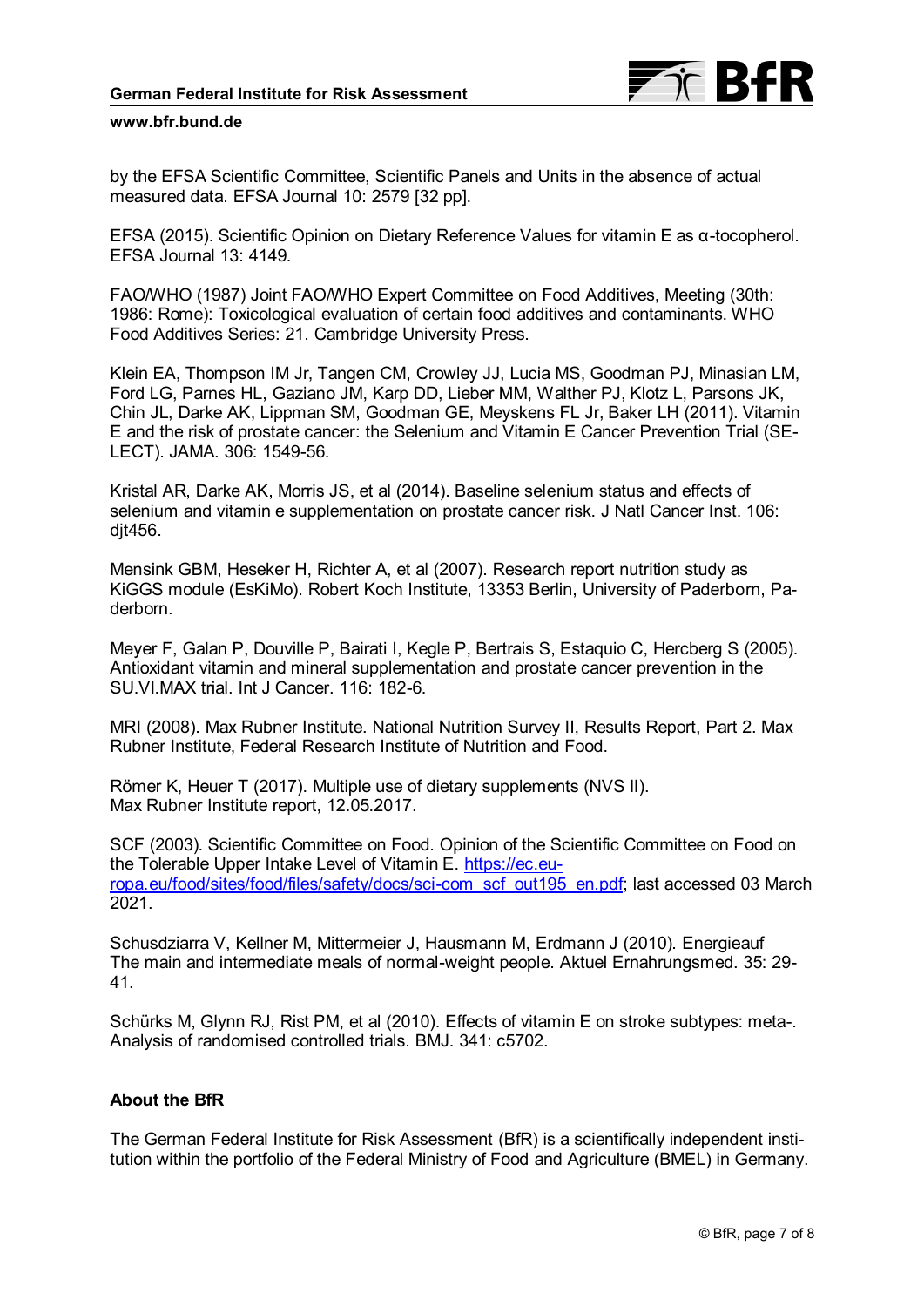

by the EFSA Scientific Committee, Scientific Panels and Units in the absence of actual measured data. EFSA Journal 10: 2579 [32 pp].

EFSA (2015). Scientific Opinion on Dietary Reference Values for vitamin E as α-tocopherol. EFSA Journal 13: 4149.

FAO/WHO (1987) Joint FAO/WHO Expert Committee on Food Additives, Meeting (30th: 1986: Rome): Toxicological evaluation of certain food additives and contaminants. WHO Food Additives Series: 21. Cambridge University Press.

Klein EA, Thompson IM Jr, Tangen CM, Crowley JJ, Lucia MS, Goodman PJ, Minasian LM, Ford LG, Parnes HL, Gaziano JM, Karp DD, Lieber MM, Walther PJ, Klotz L, Parsons JK, Chin JL, Darke AK, Lippman SM, Goodman GE, Meyskens FL Jr, Baker LH (2011). Vitamin E and the risk of prostate cancer: the Selenium and Vitamin E Cancer Prevention Trial (SE-LECT). JAMA. 306: 1549-56.

Kristal AR, Darke AK, Morris JS, et al (2014). Baseline selenium status and effects of selenium and vitamin e supplementation on prostate cancer risk. J Natl Cancer Inst. 106: djt456.

Mensink GBM, Heseker H, Richter A, et al (2007). Research report nutrition study as KiGGS module (EsKiMo). Robert Koch Institute, 13353 Berlin, University of Paderborn, Paderborn.

Meyer F, Galan P, Douville P, Bairati I, Kegle P, Bertrais S, Estaquio C, Hercberg S (2005). Antioxidant vitamin and mineral supplementation and prostate cancer prevention in the SU.VI.MAX trial. Int J Cancer. 116: 182-6.

MRI (2008). Max Rubner Institute. National Nutrition Survey II, Results Report, Part 2. Max Rubner Institute, Federal Research Institute of Nutrition and Food.

Römer K, Heuer T (2017). Multiple use of dietary supplements (NVS II). Max Rubner Institute report, 12.05.2017.

SCF (2003). Scientific Committee on Food. Opinion of the Scientific Committee on Food on the Tolerable Upper Intake Level of Vitamin E. [https://ec.eu](https://ec.europa.eu/food/sites/food/files/safety/docs/sci-com_scf_out195_en.pdf)[ropa.eu/food/sites/food/files/safety/docs/sci-com\\_scf\\_out195\\_en.pdf;](https://ec.europa.eu/food/sites/food/files/safety/docs/sci-com_scf_out195_en.pdf) last accessed 03 March 2021.

Schusdziarra V, Kellner M, Mittermeier J, Hausmann M, Erdmann J (2010). Energieauf The main and intermediate meals of normal-weight people. Aktuel Ernahrungsmed. 35: 29- 41.

Schürks M, Glynn RJ, Rist PM, et al (2010). Effects of vitamin E on stroke subtypes: meta-. Analysis of randomised controlled trials. BMJ. 341: c5702.

# **About the BfR**

The German Federal Institute for Risk Assessment (BfR) is a scientifically independent institution within the portfolio of the Federal Ministry of Food and Agriculture (BMEL) in Germany.